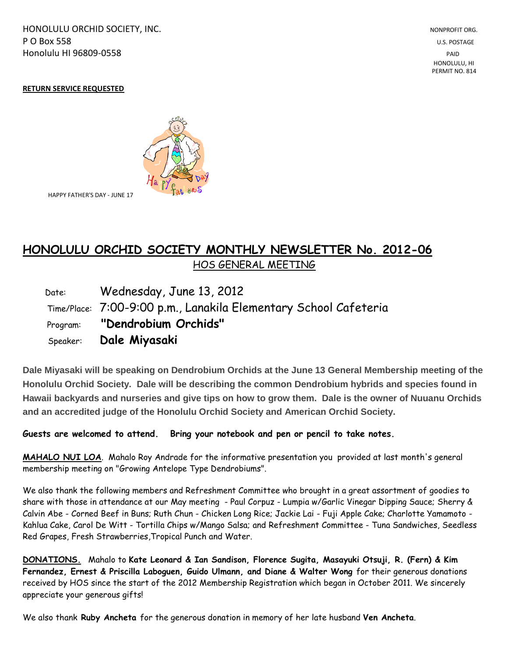HONOLULU ORCHID SOCIETY, INC. NONPROFIT ORG. NONPROFIT ORG. **P O Box 558** U.S. POSTAGE Honolulu HI 96809-0558 PAID

 HONOLULU, HI PERMIT NO. 814

## **RETURN SERVICE REQUESTED**



HAPPY FATHER'S DAY - JUNE 17

## **HONOLULU ORCHID SOCIETY MONTHLY NEWSLETTER No. 2012-06**  HOS GENERAL MEETING

 Date: Wednesday, June 13, 2012 Time/Place: 7:00-9:00 p.m., Lanakila Elementary School Cafeteria Program: **"Dendrobium Orchids"** Speaker: **Dale Miyasaki**

**Dale Miyasaki will be speaking on Dendrobium Orchids at the June 13 General Membership meeting of the Honolulu Orchid Society. Dale will be describing the common Dendrobium hybrids and species found in Hawaii backyards and nurseries and give tips on how to grow them. Dale is the owner of Nuuanu Orchids and an accredited judge of the Honolulu Orchid Society and American Orchid Society.**

**Guests are welcomed to attend. Bring your notebook and pen or pencil to take notes.**

**MAHALO NUI LOA**. Mahalo Roy Andrade for the informative presentation you provided at last month's general membership meeting on "Growing Antelope Type Dendrobiums".

We also thank the following members and Refreshment Committee who brought in a great assortment of goodies to share with those in attendance at our May meeting - Paul Corpuz - Lumpia w/Garlic Vinegar Dipping Sauce; Sherry & Calvin Abe - Corned Beef in Buns; Ruth Chun - Chicken Long Rice; Jackie Lai - Fuji Apple Cake; Charlotte Yamamoto - Kahlua Cake, Carol De Witt - Tortilla Chips w/Mango Salsa; and Refreshment Committee - Tuna Sandwiches, Seedless Red Grapes, Fresh Strawberries,Tropical Punch and Water.

**DONATIONS.** Mahalo to **Kate Leonard & Ian Sandison, Florence Sugita, Masayuki Otsuji, R. (Fern) & Kim Fernandez, Ernest & Priscilla Laboguen, Guido Ulmann, and Diane & Walter Wong** for their generous donations received by HOS since the start of the 2012 Membership Registration which began in October 2011. We sincerely appreciate your generous gifts!

We also thank **Ruby Ancheta** for the generous donation in memory of her late husband **Ven Ancheta**.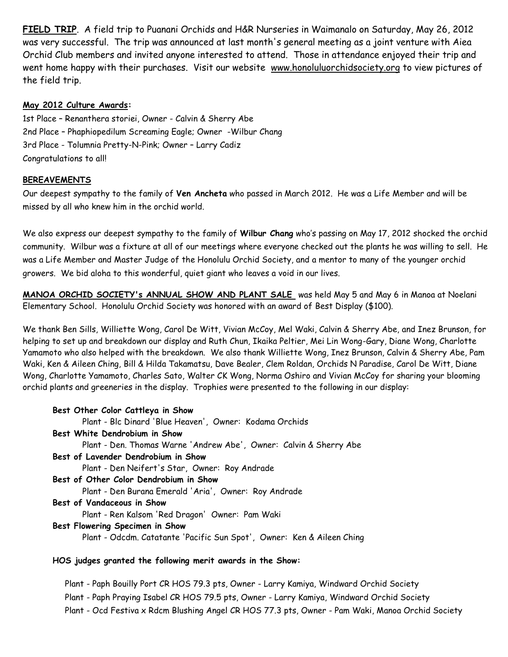**FIELD TRIP**. A field trip to Puanani Orchids and H&R Nurseries in Waimanalo on Saturday, May 26, 2012 was very successful. The trip was announced at last month's general meeting as a joint venture with Aiea Orchid Club members and invited anyone interested to attend. Those in attendance enjoyed their trip and went home happy with their purchases. Visit our website www.honoluluorchidsociety.org to view pictures of the field trip.

## **May 2012 Culture Awards:**

1st Place – Renanthera storiei, Owner - Calvin & Sherry Abe 2nd Place – Phaphiopedilum Screaming Eagle; Owner -Wilbur Chang 3rd Place - Tolumnia Pretty-N-Pink; Owner – Larry Cadiz Congratulations to all!

## **BEREAVEMENTS**

Our deepest sympathy to the family of **Ven Ancheta** who passed in March 2012. He was a Life Member and will be missed by all who knew him in the orchid world.

We also express our deepest sympathy to the family of **Wilbur Chang** who's passing on May 17, 2012 shocked the orchid community. Wilbur was a fixture at all of our meetings where everyone checked out the plants he was willing to sell. He was a Life Member and Master Judge of the Honolulu Orchid Society, and a mentor to many of the younger orchid growers. We bid aloha to this wonderful, quiet giant who leaves a void in our lives.

**MANOA ORCHID SOCIETY's ANNUAL SHOW AND PLANT SALE** was held May 5 and May 6 in Manoa at Noelani Elementary School. Honolulu Orchid Society was honored with an award of Best Display (\$100).

We thank Ben Sills, Williette Wong, Carol De Witt, Vivian McCoy, Mel Waki, Calvin & Sherry Abe, and Inez Brunson, for helping to set up and breakdown our display and Ruth Chun, Ikaika Peltier, Mei Lin Wong-Gary, Diane Wong, Charlotte Yamamoto who also helped with the breakdown. We also thank Williette Wong, Inez Brunson, Calvin & Sherry Abe, Pam Waki, Ken & Aileen Ching, Bill & Hilda Takamatsu, Dave Bealer, Clem Roldan, Orchids N Paradise, Carol De Witt, Diane Wong, Charlotte Yamamoto, Charles Sato, Walter CK Wong, Norma Oshiro and Vivian McCoy for sharing your blooming orchid plants and greeneries in the display. Trophies were presented to the following in our display:

| Best Other Color Cattleya in Show                                      |
|------------------------------------------------------------------------|
| Plant - Blc Dinard 'Blue Heaven', Owner: Kodama Orchids                |
| Best White Dendrobium in Show                                          |
| Plant - Den. Thomas Warne 'Andrew Abe', Owner: Calvin & Sherry Abe     |
| Best of Lavender Dendrobium in Show                                    |
| Plant - Den Neifert's Star, Owner: Roy Andrade                         |
| Best of Other Color Dendrobium in Show                                 |
| Plant - Den Burana Emerald 'Aria', Owner: Roy Andrade                  |
| Best of Vandaceous in Show                                             |
| Plant - Ren Kalsom 'Red Dragon' Owner: Pam Waki                        |
| Best Flowering Specimen in Show                                        |
| Plant - Odcdm. Catatante 'Pacific Sun Spot', Owner: Ken & Aileen Ching |

 Plant - Paph Bouilly Port CR HOS 79.3 pts, Owner - Larry Kamiya, Windward Orchid Society Plant - Paph Praying Isabel CR HOS 79.5 pts, Owner - Larry Kamiya, Windward Orchid Society Plant - Ocd Festiva x Rdcm Blushing Angel CR HOS 77.3 pts, Owner - Pam Waki, Manoa Orchid Society